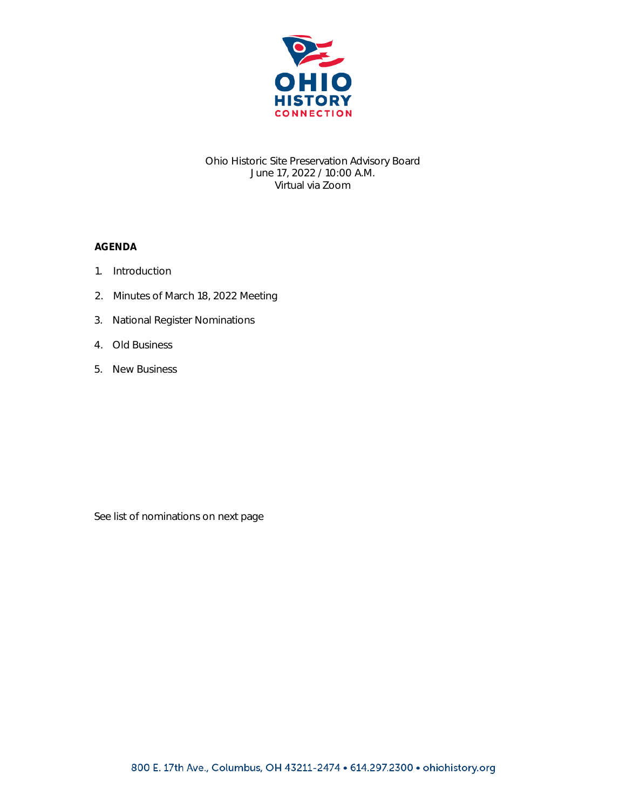

## Ohio Historic Site Preservation Advisory Board June 17, 2022 / 10:00 A.M. Virtual via Zoom

## AGENDA

- 1. Introduction
- 2. Minutes of March 18, 2022 Meeting
- 3. National Register Nominations
- 4. Old Business
- 5. New Business

See list of nominations on next page